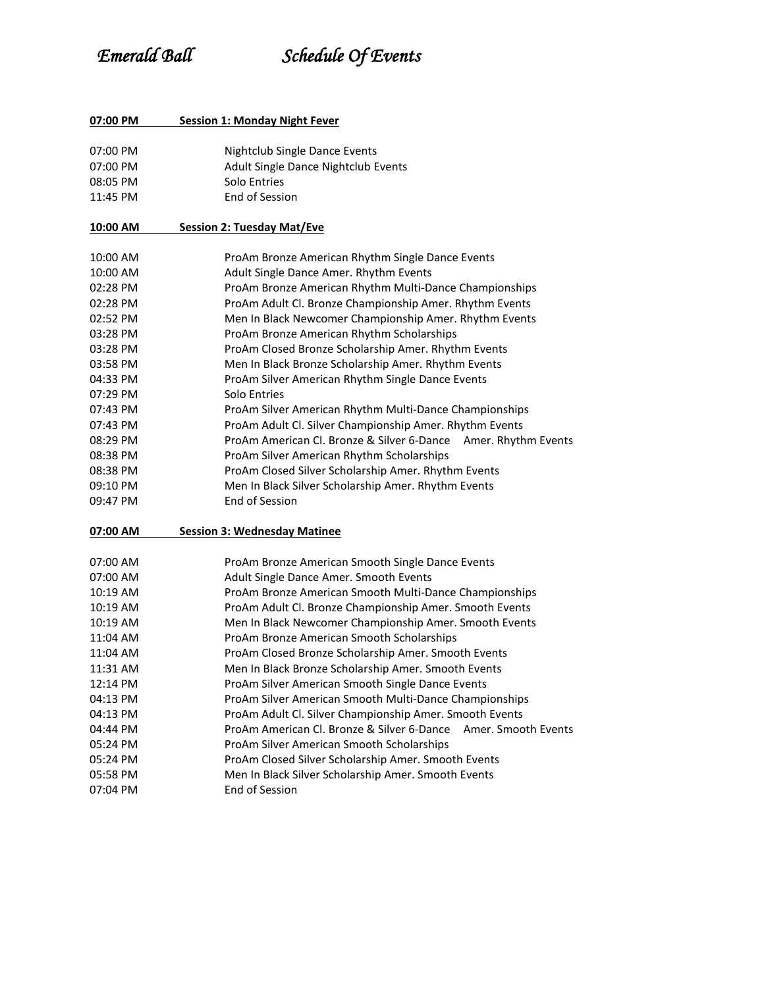# *Emerald Ball Schedule Of Events*

| 07:00 PM | <b>Session 1: Monday Night Fever</b>                              |
|----------|-------------------------------------------------------------------|
| 07:00 PM | Nightclub Single Dance Events                                     |
| 07:00 PM | Adult Single Dance Nightclub Events                               |
| 08:05 PM | Solo Entries                                                      |
| 11:45 PM | <b>End of Session</b>                                             |
| 10:00 AM | <b>Session 2: Tuesday Mat/Eve</b>                                 |
| 10:00 AM | ProAm Bronze American Rhythm Single Dance Events                  |
| 10:00 AM | Adult Single Dance Amer. Rhythm Events                            |
| 02:28 PM | ProAm Bronze American Rhythm Multi-Dance Championships            |
| 02:28 PM | ProAm Adult Cl. Bronze Championship Amer. Rhythm Events           |
| 02:52 PM | Men In Black Newcomer Championship Amer. Rhythm Events            |
| 03:28 PM | ProAm Bronze American Rhythm Scholarships                         |
| 03:28 PM | ProAm Closed Bronze Scholarship Amer. Rhythm Events               |
| 03:58 PM | Men In Black Bronze Scholarship Amer. Rhythm Events               |
| 04:33 PM | ProAm Silver American Rhythm Single Dance Events                  |
| 07:29 PM | Solo Entries                                                      |
| 07:43 PM | ProAm Silver American Rhythm Multi-Dance Championships            |
| 07:43 PM | ProAm Adult Cl. Silver Championship Amer. Rhythm Events           |
| 08:29 PM | ProAm American Cl. Bronze & Silver 6-Dance Amer. Rhythm Events    |
| 08:38 PM | ProAm Silver American Rhythm Scholarships                         |
| 08:38 PM | ProAm Closed Silver Scholarship Amer. Rhythm Events               |
| 09:10 PM | Men In Black Silver Scholarship Amer. Rhythm Events               |
| 09:47 PM | End of Session                                                    |
| 07:00 AM | <b>Session 3: Wednesday Matinee</b>                               |
| 07:00 AM | ProAm Bronze American Smooth Single Dance Events                  |
| 07:00 AM | Adult Single Dance Amer. Smooth Events                            |
| 10:19 AM | ProAm Bronze American Smooth Multi-Dance Championships            |
| 10:19 AM | ProAm Adult Cl. Bronze Championship Amer. Smooth Events           |
| 10:19 AM | Men In Black Newcomer Championship Amer. Smooth Events            |
| 11:04 AM | ProAm Bronze American Smooth Scholarships                         |
| 11:04 AM | ProAm Closed Bronze Scholarship Amer. Smooth Events               |
| 11:31 AM | Men In Black Bronze Scholarship Amer. Smooth Events               |
| 12:14 PM | ProAm Silver American Smooth Single Dance Events                  |
| 04:13 PM | ProAm Silver American Smooth Multi-Dance Championships            |
| 04:13 PM | ProAm Adult Cl. Silver Championship Amer. Smooth Events           |
| 04:44 PM | ProAm American Cl. Bronze & Silver 6-Dance<br>Amer. Smooth Events |
| 05:24 PM | ProAm Silver American Smooth Scholarships                         |
| 05:24 PM | ProAm Closed Silver Scholarship Amer. Smooth Events               |
| 05:58 PM | Men In Black Silver Scholarship Amer. Smooth Events               |
| 07:04 PM | End of Session                                                    |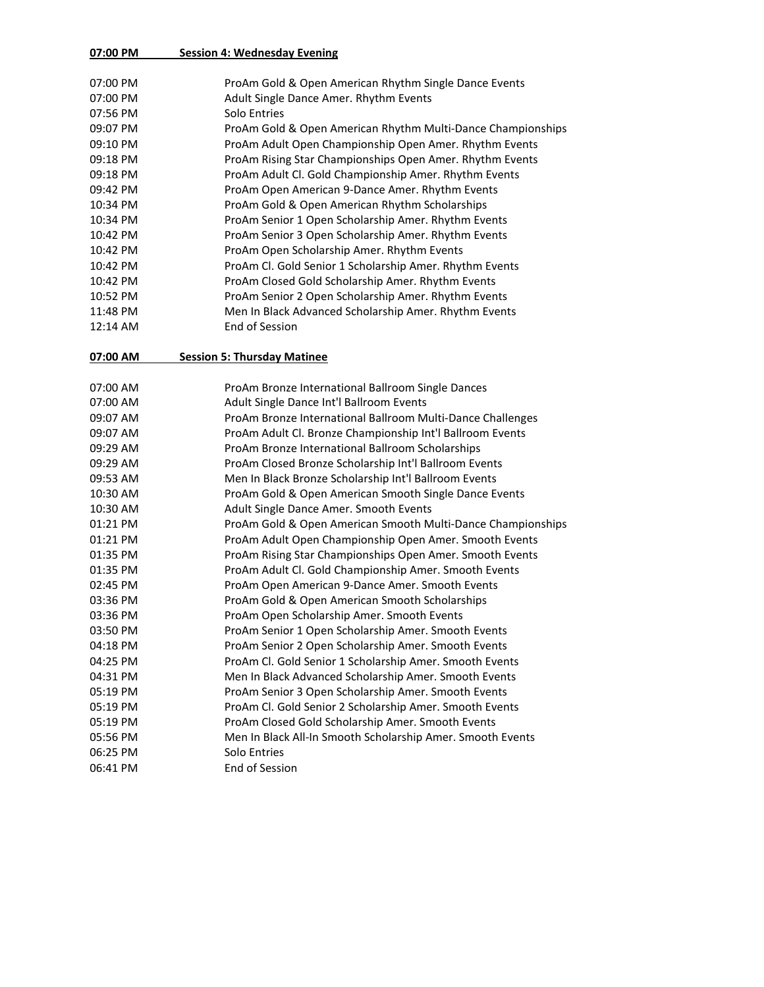## **07:00 PM Session 4: Wednesday Evening**

| 07:00 AM   | <b>Session 5: Thursday Matinee</b>                          |
|------------|-------------------------------------------------------------|
| $12:14$ AM | End of Session                                              |
| 11:48 PM   | Men In Black Advanced Scholarship Amer. Rhythm Events       |
| 10:52 PM   | ProAm Senior 2 Open Scholarship Amer. Rhythm Events         |
| 10:42 PM   | ProAm Closed Gold Scholarship Amer. Rhythm Events           |
| 10:42 PM   | ProAm Cl. Gold Senior 1 Scholarship Amer. Rhythm Events     |
| 10:42 PM   | ProAm Open Scholarship Amer. Rhythm Events                  |
| 10:42 PM   | ProAm Senior 3 Open Scholarship Amer. Rhythm Events         |
| 10:34 PM   | ProAm Senior 1 Open Scholarship Amer. Rhythm Events         |
| 10:34 PM   | ProAm Gold & Open American Rhythm Scholarships              |
| 09:42 PM   | ProAm Open American 9-Dance Amer. Rhythm Events             |
| 09:18 PM   | ProAm Adult Cl. Gold Championship Amer. Rhythm Events       |
| 09:18 PM   | ProAm Rising Star Championships Open Amer. Rhythm Events    |
| 09:10 PM   | ProAm Adult Open Championship Open Amer. Rhythm Events      |
| 09:07 PM   | ProAm Gold & Open American Rhythm Multi-Dance Championships |
| 07:56 PM   | Solo Entries                                                |
| 07:00 PM   | Adult Single Dance Amer. Rhythm Events                      |
| 07:00 PM   | ProAm Gold & Open American Rhythm Single Dance Events       |
|            |                                                             |

| 07:00 AM | ProAm Bronze International Ballroom Single Dances           |
|----------|-------------------------------------------------------------|
| 07:00 AM | Adult Single Dance Int'l Ballroom Events                    |
| 09:07 AM | ProAm Bronze International Ballroom Multi-Dance Challenges  |
| 09:07 AM | ProAm Adult Cl. Bronze Championship Int'l Ballroom Events   |
| 09:29 AM | ProAm Bronze International Ballroom Scholarships            |
| 09:29 AM | ProAm Closed Bronze Scholarship Int'l Ballroom Events       |
| 09:53 AM | Men In Black Bronze Scholarship Int'l Ballroom Events       |
| 10:30 AM | ProAm Gold & Open American Smooth Single Dance Events       |
| 10:30 AM | Adult Single Dance Amer. Smooth Events                      |
| 01:21 PM | ProAm Gold & Open American Smooth Multi-Dance Championships |
| 01:21 PM | ProAm Adult Open Championship Open Amer. Smooth Events      |
| 01:35 PM | ProAm Rising Star Championships Open Amer. Smooth Events    |
| 01:35 PM | ProAm Adult Cl. Gold Championship Amer. Smooth Events       |
| 02:45 PM | ProAm Open American 9-Dance Amer. Smooth Events             |
| 03:36 PM | ProAm Gold & Open American Smooth Scholarships              |
| 03:36 PM | ProAm Open Scholarship Amer. Smooth Events                  |
| 03:50 PM | ProAm Senior 1 Open Scholarship Amer. Smooth Events         |
| 04:18 PM | ProAm Senior 2 Open Scholarship Amer. Smooth Events         |
| 04:25 PM | ProAm Cl. Gold Senior 1 Scholarship Amer. Smooth Events     |
| 04:31 PM | Men In Black Advanced Scholarship Amer. Smooth Events       |
| 05:19 PM | ProAm Senior 3 Open Scholarship Amer. Smooth Events         |
| 05:19 PM | ProAm Cl. Gold Senior 2 Scholarship Amer. Smooth Events     |
| 05:19 PM | ProAm Closed Gold Scholarship Amer. Smooth Events           |
| 05:56 PM | Men In Black All-In Smooth Scholarship Amer. Smooth Events  |
| 06:25 PM | Solo Entries                                                |
| 06:41 PM | End of Session                                              |
|          |                                                             |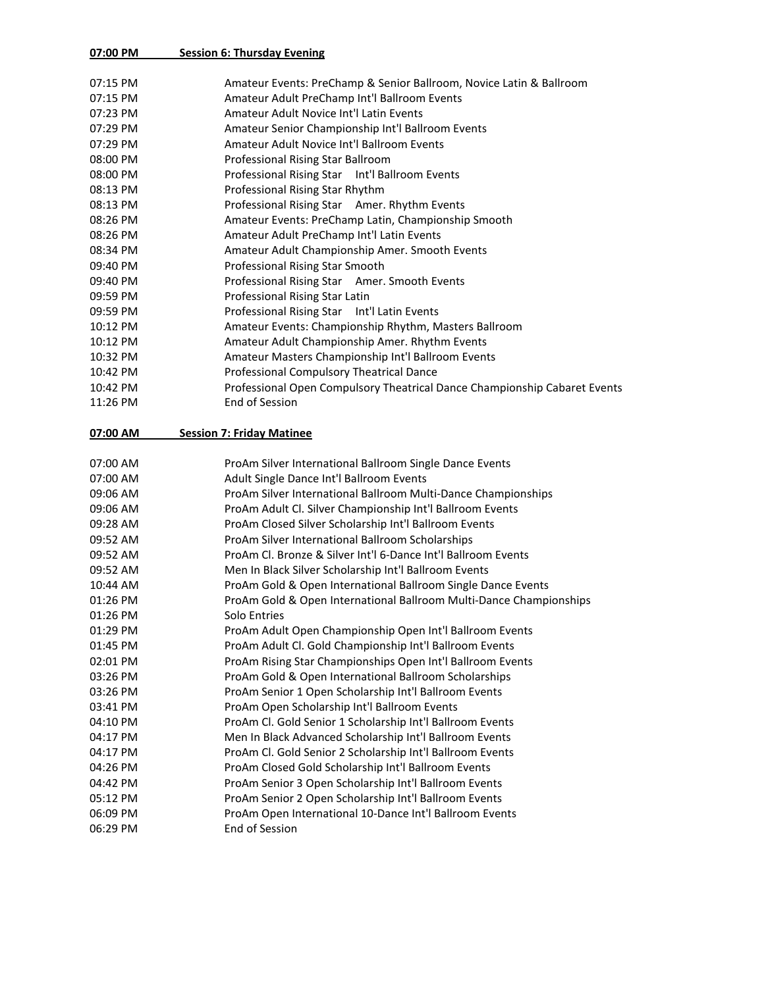#### **07:00 PM Session 6: Thursday Evening**

| 07:15 PM | Amateur Events: PreChamp & Senior Ballroom, Novice Latin & Ballroom       |
|----------|---------------------------------------------------------------------------|
| 07:15 PM | Amateur Adult PreChamp Int'l Ballroom Events                              |
| 07:23 PM | <b>Amateur Adult Novice Int'l Latin Events</b>                            |
| 07:29 PM | Amateur Senior Championship Int'l Ballroom Events                         |
| 07:29 PM | Amateur Adult Novice Int'l Ballroom Events                                |
| 08:00 PM | Professional Rising Star Ballroom                                         |
| 08:00 PM | Professional Rising Star Int'l Ballroom Events                            |
| 08:13 PM | Professional Rising Star Rhythm                                           |
| 08:13 PM | Professional Rising Star Amer. Rhythm Events                              |
| 08:26 PM | Amateur Events: PreChamp Latin, Championship Smooth                       |
| 08:26 PM | Amateur Adult PreChamp Int'l Latin Events                                 |
| 08:34 PM | Amateur Adult Championship Amer. Smooth Events                            |
| 09:40 PM | Professional Rising Star Smooth                                           |
| 09:40 PM | Professional Rising Star Amer. Smooth Events                              |
| 09:59 PM | Professional Rising Star Latin                                            |
| 09:59 PM | Professional Rising Star Int'l Latin Events                               |
| 10:12 PM | Amateur Events: Championship Rhythm, Masters Ballroom                     |
| 10:12 PM | Amateur Adult Championship Amer. Rhythm Events                            |
| 10:32 PM | Amateur Masters Championship Int'l Ballroom Events                        |
| 10:42 PM | Professional Compulsory Theatrical Dance                                  |
| 10:42 PM | Professional Open Compulsory Theatrical Dance Championship Cabaret Events |
| 11:26 PM | End of Session                                                            |
|          |                                                                           |
| 07:00 AM | <b>Session 7: Friday Matinee</b>                                          |
| 07:00 AM | ProAm Silver International Ballroom Single Dance Events                   |
| 07:00 AM | Adult Single Dance Int'l Ballroom Events                                  |
| 09:06 AM | ProAm Silver International Ballroom Multi-Dance Championships             |
| 09:06 AM | ProAm Adult Cl. Silver Championship Int'l Ballroom Events                 |
| 09:28 AM | ProAm Closed Silver Scholarship Int'l Ballroom Events                     |
| 09:52 AM | ProAm Silver International Ballroom Scholarships                          |
| 09:52 AM | ProAm Cl. Bronze & Silver Int'l 6-Dance Int'l Ballroom Events             |
| 09:52 AM | Men In Black Silver Scholarship Int'l Ballroom Events                     |
| 10:44 AM | ProAm Gold & Open International Ballroom Single Dance Events              |
| 01:26 PM | ProAm Gold & Open International Ballroom Multi-Dance Championships        |
| 01:26 PM | Solo Entries                                                              |
| 01:29 PM | ProAm Adult Open Championship Open Int'l Ballroom Events                  |
| 01:45 PM | ProAm Adult Cl. Gold Championship Int'l Ballroom Events                   |
| 02:01 PM | ProAm Rising Star Championships Open Int'l Ballroom Events                |
| 03:26 PM | ProAm Gold & Open International Ballroom Scholarships                     |
| 03:26 PM | ProAm Senior 1 Open Scholarship Int'l Ballroom Events                     |
| 03:41 PM | ProAm Open Scholarship Int'l Ballroom Events                              |
| 04:10 PM | ProAm Cl. Gold Senior 1 Scholarship Int'l Ballroom Events                 |
| 04:17 PM | Men In Black Advanced Scholarship Int'l Ballroom Events                   |
| 04:17 PM | ProAm Cl. Gold Senior 2 Scholarship Int'l Ballroom Events                 |
| 04:26 PM | ProAm Closed Gold Scholarship Int'l Ballroom Events                       |
| 04:42 PM | ProAm Senior 3 Open Scholarship Int'l Ballroom Events                     |
|          |                                                                           |

06:09 PM ProAm Open International 10-Dance Int'l Ballroom Events 06:29 PM End of Session

05:12 PM ProAm Senior 2 Open Scholarship Int'l Ballroom Events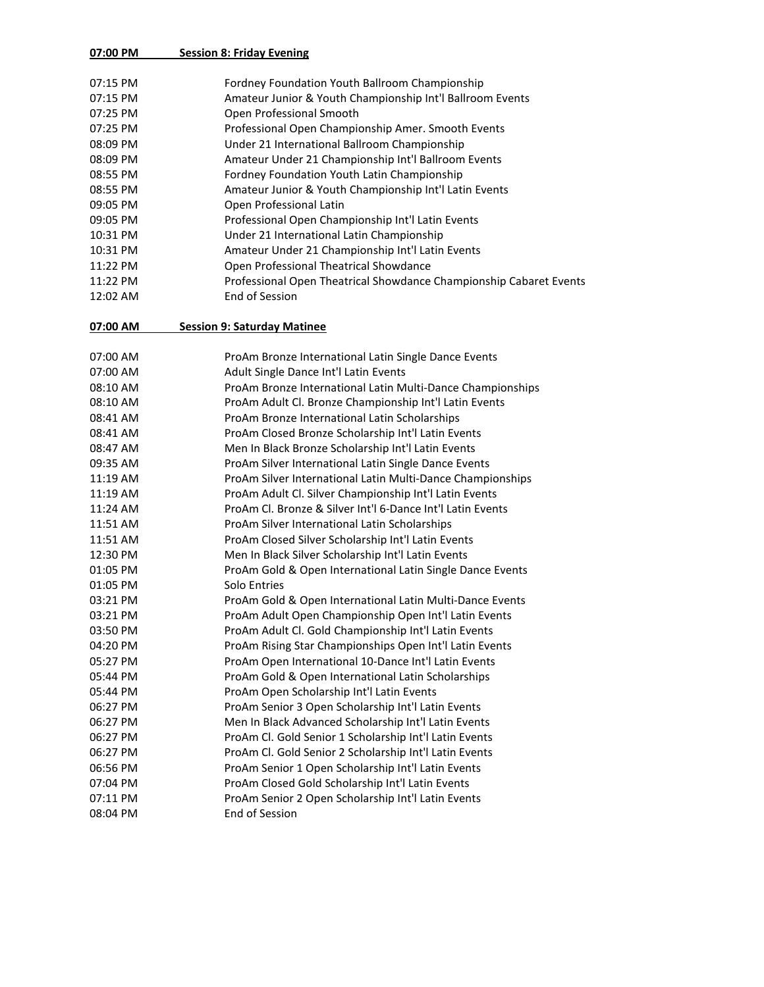### **07:00 PM Session 8: Friday Evening**

| $07:15$ PM | Fordney Foundation Youth Ballroom Championship                     |
|------------|--------------------------------------------------------------------|
| $07:15$ PM | Amateur Junior & Youth Championship Int'l Ballroom Events          |
| 07:25 PM   | Open Professional Smooth                                           |
| 07:25 PM   | Professional Open Championship Amer. Smooth Events                 |
| 08:09 PM   | Under 21 International Ballroom Championship                       |
| 08:09 PM   | Amateur Under 21 Championship Int'l Ballroom Events                |
| 08:55 PM   | Fordney Foundation Youth Latin Championship                        |
| 08:55 PM   | Amateur Junior & Youth Championship Int'l Latin Events             |
| 09:05 PM   | Open Professional Latin                                            |
| 09:05 PM   | Professional Open Championship Int'l Latin Events                  |
| 10:31 PM   | Under 21 International Latin Championship                          |
| 10:31 PM   | Amateur Under 21 Championship Int'l Latin Events                   |
| 11:22 PM   | Open Professional Theatrical Showdance                             |
| 11:22 PM   | Professional Open Theatrical Showdance Championship Cabaret Events |
| 12:02 AM   | End of Session                                                     |
|            |                                                                    |

### **07:00 AM Session 9: Saturday Matinee**

| ProAm Bronze International Latin Single Dance Events       |
|------------------------------------------------------------|
| Adult Single Dance Int'l Latin Events                      |
| ProAm Bronze International Latin Multi-Dance Championships |
| ProAm Adult Cl. Bronze Championship Int'l Latin Events     |
| ProAm Bronze International Latin Scholarships              |
| ProAm Closed Bronze Scholarship Int'l Latin Events         |
| Men In Black Bronze Scholarship Int'l Latin Events         |
| ProAm Silver International Latin Single Dance Events       |
| ProAm Silver International Latin Multi-Dance Championships |
| ProAm Adult Cl. Silver Championship Int'l Latin Events     |
| ProAm Cl. Bronze & Silver Int'l 6-Dance Int'l Latin Events |
| ProAm Silver International Latin Scholarships              |
| ProAm Closed Silver Scholarship Int'l Latin Events         |
| Men In Black Silver Scholarship Int'l Latin Events         |
| ProAm Gold & Open International Latin Single Dance Events  |
| Solo Entries                                               |
| ProAm Gold & Open International Latin Multi-Dance Events   |
| ProAm Adult Open Championship Open Int'l Latin Events      |
| ProAm Adult Cl. Gold Championship Int'l Latin Events       |
| ProAm Rising Star Championships Open Int'l Latin Events    |
| ProAm Open International 10-Dance Int'l Latin Events       |
| ProAm Gold & Open International Latin Scholarships         |
| ProAm Open Scholarship Int'l Latin Events                  |
| ProAm Senior 3 Open Scholarship Int'l Latin Events         |
| Men In Black Advanced Scholarship Int'l Latin Events       |
| ProAm Cl. Gold Senior 1 Scholarship Int'l Latin Events     |
| ProAm Cl. Gold Senior 2 Scholarship Int'l Latin Events     |
| ProAm Senior 1 Open Scholarship Int'l Latin Events         |
| ProAm Closed Gold Scholarship Int'l Latin Events           |
| ProAm Senior 2 Open Scholarship Int'l Latin Events         |
| End of Session                                             |
|                                                            |